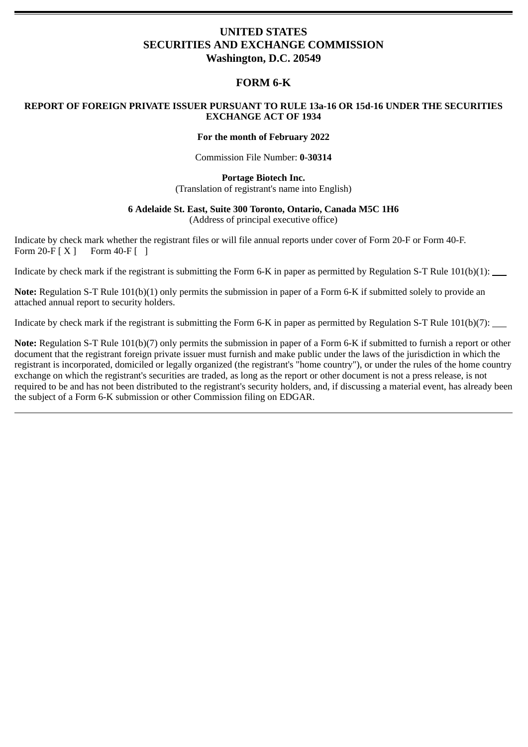# **UNITED STATES SECURITIES AND EXCHANGE COMMISSION Washington, D.C. 20549**

## **FORM 6-K**

### **REPORT OF FOREIGN PRIVATE ISSUER PURSUANT TO RULE 13a-16 OR 15d-16 UNDER THE SECURITIES EXCHANGE ACT OF 1934**

#### **For the month of February 2022**

Commission File Number: **0-30314**

#### **Portage Biotech Inc.** (Translation of registrant's name into English)

# **6 Adelaide St. East, Suite 300 Toronto, Ontario, Canada M5C 1H6**

(Address of principal executive office)

Indicate by check mark whether the registrant files or will file annual reports under cover of Form 20-F or Form 40-F. Form  $20-F[X]$  Form  $40-F$  [ ]

Indicate by check mark if the registrant is submitting the Form 6-K in paper as permitted by Regulation S-T Rule 101(b)(1):

**Note:** Regulation S-T Rule 101(b)(1) only permits the submission in paper of a Form 6-K if submitted solely to provide an attached annual report to security holders.

Indicate by check mark if the registrant is submitting the Form 6-K in paper as permitted by Regulation S-T Rule 101(b)(7):

**Note:** Regulation S-T Rule 101(b)(7) only permits the submission in paper of a Form 6-K if submitted to furnish a report or other document that the registrant foreign private issuer must furnish and make public under the laws of the jurisdiction in which the registrant is incorporated, domiciled or legally organized (the registrant's "home country"), or under the rules of the home country exchange on which the registrant's securities are traded, as long as the report or other document is not a press release, is not required to be and has not been distributed to the registrant's security holders, and, if discussing a material event, has already been the subject of a Form 6-K submission or other Commission filing on EDGAR.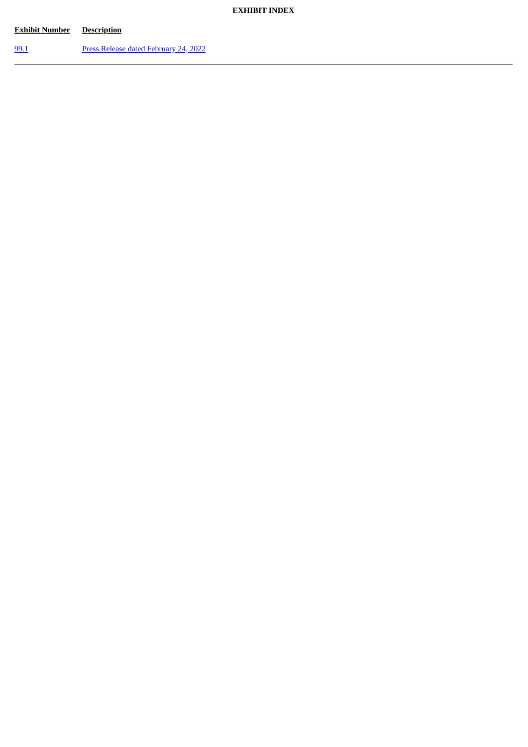## **EXHIBIT INDEX**

| <b>Exhibit Number</b> | <b>Description</b>                    |
|-----------------------|---------------------------------------|
| 99.1                  | Press Release dated February 24, 2022 |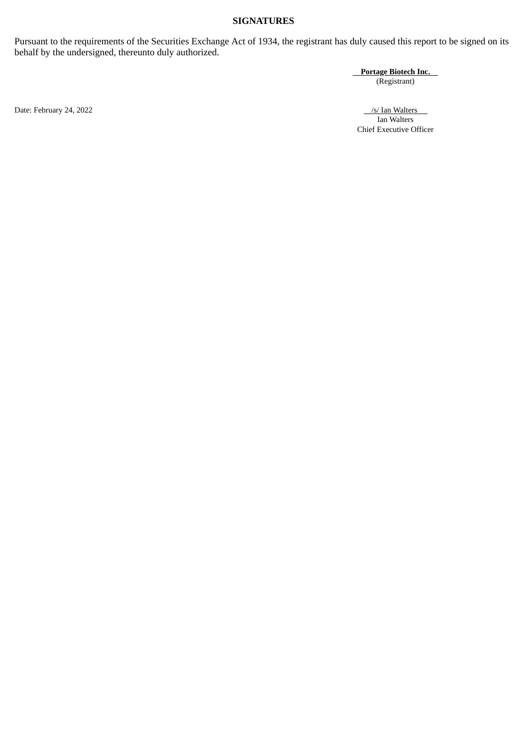## **SIGNATURES**

Pursuant to the requirements of the Securities Exchange Act of 1934, the registrant has duly caused this report to be signed on its behalf by the undersigned, thereunto duly authorized.

**Portage Biotech Inc.**

(Registrant)

Date: February 24, 2022 /s/ Ian Walters /s/ Ian Walters /s/ Ian Walters /s/ Ian Walters /s/ Ian Walters /s/ Ian Walters /s/ Ian Walters /s/ Ian Walters /s/ Ian Walters /s/ Ian Walters /s/ Ian Walters /s/ Ian Walters /s/ Ia Ian Walters Chief Executive Officer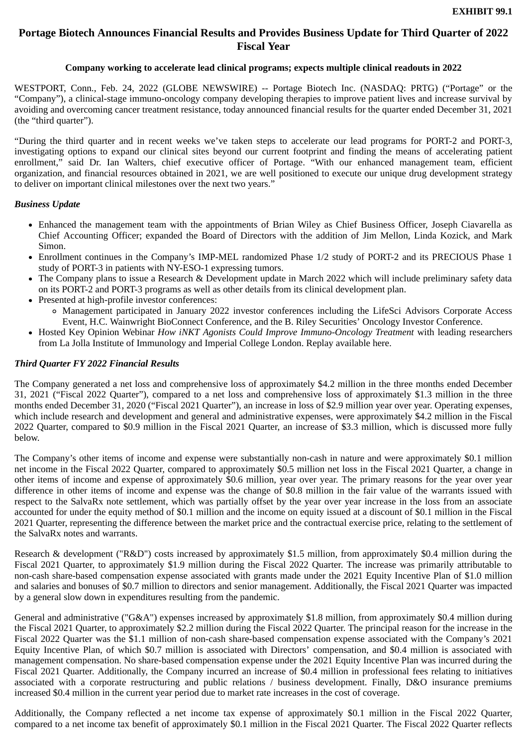# <span id="page-3-0"></span>**Portage Biotech Announces Financial Results and Provides Business Update for Third Quarter of 2022 Fiscal Year**

### **Company working to accelerate lead clinical programs; expects multiple clinical readouts in 2022**

WESTPORT, Conn., Feb. 24, 2022 (GLOBE NEWSWIRE) -- Portage Biotech Inc. (NASDAQ: PRTG) ("Portage" or the "Company"), a clinical-stage immuno-oncology company developing therapies to improve patient lives and increase survival by avoiding and overcoming cancer treatment resistance, today announced financial results for the quarter ended December 31, 2021 (the "third quarter").

"During the third quarter and in recent weeks we've taken steps to accelerate our lead programs for PORT-2 and PORT-3, investigating options to expand our clinical sites beyond our current footprint and finding the means of accelerating patient enrollment," said Dr. Ian Walters, chief executive officer of Portage. "With our enhanced management team, efficient organization, and financial resources obtained in 2021, we are well positioned to execute our unique drug development strategy to deliver on important clinical milestones over the next two years."

#### *Business Update*

- Enhanced the management team with the appointments of Brian Wiley as Chief Business Officer, Joseph Ciavarella as Chief Accounting Officer; expanded the Board of Directors with the addition of Jim Mellon, Linda Kozick, and Mark Simon.
- Enrollment continues in the Company's IMP-MEL randomized Phase 1/2 study of PORT-2 and its PRECIOUS Phase 1 study of PORT-3 in patients with NY-ESO-1 expressing tumors.
- The Company plans to issue a Research & Development update in March 2022 which will include preliminary safety data on its PORT-2 and PORT-3 programs as well as other details from its clinical development plan.
- Presented at high-profile investor conferences:
	- Management participated in January 2022 investor conferences including the LifeSci Advisors Corporate Access Event, H.C. Wainwright BioConnect Conference, and the B. Riley Securities' Oncology Investor Conference.
- Hosted Key Opinion Webinar *How iNKT Agonists Could Improve Immuno-Oncology Treatment* with leading researchers from La Jolla Institute of Immunology and Imperial College London. Replay available here.

## *Third Quarter FY 2022 Financial Results*

The Company generated a net loss and comprehensive loss of approximately \$4.2 million in the three months ended December 31, 2021 ("Fiscal 2022 Quarter"), compared to a net loss and comprehensive loss of approximately \$1.3 million in the three months ended December 31, 2020 ("Fiscal 2021 Quarter"), an increase in loss of \$2.9 million year over year. Operating expenses, which include research and development and general and administrative expenses, were approximately \$4.2 million in the Fiscal 2022 Quarter, compared to \$0.9 million in the Fiscal 2021 Quarter, an increase of \$3.3 million, which is discussed more fully below.

The Company's other items of income and expense were substantially non-cash in nature and were approximately \$0.1 million net income in the Fiscal 2022 Quarter, compared to approximately \$0.5 million net loss in the Fiscal 2021 Quarter, a change in other items of income and expense of approximately \$0.6 million, year over year. The primary reasons for the year over year difference in other items of income and expense was the change of \$0.8 million in the fair value of the warrants issued with respect to the SalvaRx note settlement, which was partially offset by the year over year increase in the loss from an associate accounted for under the equity method of \$0.1 million and the income on equity issued at a discount of \$0.1 million in the Fiscal 2021 Quarter, representing the difference between the market price and the contractual exercise price, relating to the settlement of the SalvaRx notes and warrants.

Research & development ("R&D") costs increased by approximately \$1.5 million, from approximately \$0.4 million during the Fiscal 2021 Quarter, to approximately \$1.9 million during the Fiscal 2022 Quarter. The increase was primarily attributable to non-cash share-based compensation expense associated with grants made under the 2021 Equity Incentive Plan of \$1.0 million and salaries and bonuses of \$0.7 million to directors and senior management. Additionally, the Fiscal 2021 Quarter was impacted by a general slow down in expenditures resulting from the pandemic.

General and administrative ("G&A") expenses increased by approximately \$1.8 million, from approximately \$0.4 million during the Fiscal 2021 Quarter, to approximately \$2.2 million during the Fiscal 2022 Quarter. The principal reason for the increase in the Fiscal 2022 Quarter was the \$1.1 million of non-cash share-based compensation expense associated with the Company's 2021 Equity Incentive Plan, of which \$0.7 million is associated with Directors' compensation, and \$0.4 million is associated with management compensation. No share-based compensation expense under the 2021 Equity Incentive Plan was incurred during the Fiscal 2021 Quarter. Additionally, the Company incurred an increase of \$0.4 million in professional fees relating to initiatives associated with a corporate restructuring and public relations / business development. Finally, D&O insurance premiums increased \$0.4 million in the current year period due to market rate increases in the cost of coverage.

Additionally, the Company reflected a net income tax expense of approximately \$0.1 million in the Fiscal 2022 Quarter, compared to a net income tax benefit of approximately \$0.1 million in the Fiscal 2021 Quarter. The Fiscal 2022 Quarter reflects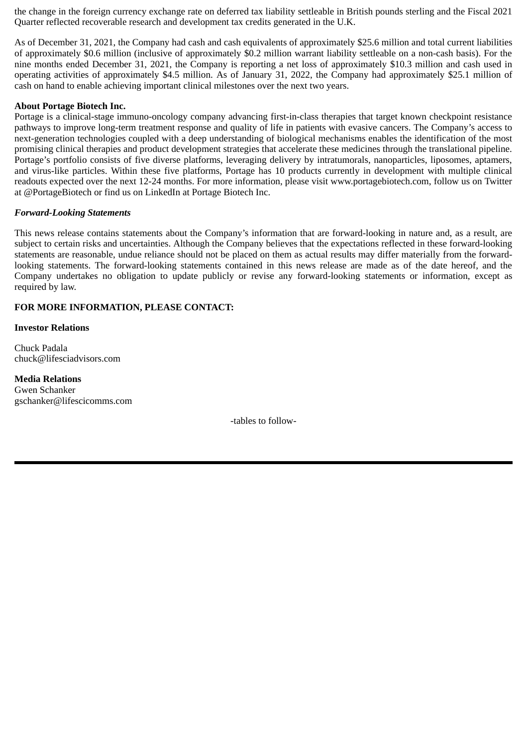the change in the foreign currency exchange rate on deferred tax liability settleable in British pounds sterling and the Fiscal 2021 Quarter reflected recoverable research and development tax credits generated in the U.K.

As of December 31, 2021, the Company had cash and cash equivalents of approximately \$25.6 million and total current liabilities of approximately \$0.6 million (inclusive of approximately \$0.2 million warrant liability settleable on a non-cash basis). For the nine months ended December 31, 2021, the Company is reporting a net loss of approximately \$10.3 million and cash used in operating activities of approximately \$4.5 million. As of January 31, 2022, the Company had approximately \$25.1 million of cash on hand to enable achieving important clinical milestones over the next two years.

#### **About Portage Biotech Inc.**

Portage is a clinical-stage immuno-oncology company advancing first-in-class therapies that target known checkpoint resistance pathways to improve long-term treatment response and quality of life in patients with evasive cancers. The Company's access to next-generation technologies coupled with a deep understanding of biological mechanisms enables the identification of the most promising clinical therapies and product development strategies that accelerate these medicines through the translational pipeline. Portage's portfolio consists of five diverse platforms, leveraging delivery by intratumorals, nanoparticles, liposomes, aptamers, and virus-like particles. Within these five platforms, Portage has 10 products currently in development with multiple clinical readouts expected over the next 12-24 months. For more information, please visit www.portagebiotech.com, follow us on Twitter at @PortageBiotech or find us on LinkedIn at Portage Biotech Inc.

### *Forward-Looking Statements*

This news release contains statements about the Company's information that are forward-looking in nature and, as a result, are subject to certain risks and uncertainties. Although the Company believes that the expectations reflected in these forward-looking statements are reasonable, undue reliance should not be placed on them as actual results may differ materially from the forwardlooking statements. The forward-looking statements contained in this news release are made as of the date hereof, and the Company undertakes no obligation to update publicly or revise any forward-looking statements or information, except as required by law.

## **FOR MORE INFORMATION, PLEASE CONTACT:**

#### **Investor Relations**

Chuck Padala chuck@lifesciadvisors.com

## **Media Relations**

Gwen Schanker gschanker@lifescicomms.com

-tables to follow-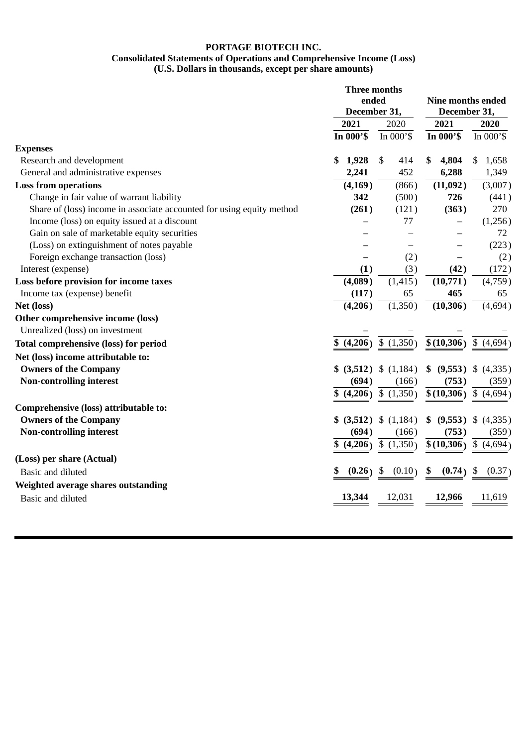#### **PORTAGE BIOTECH INC. Consolidated Statements of Operations and Comprehensive Income (Loss) (U.S. Dollars in thousands, except per share amounts)**

|                                                                       |    | <b>Three months</b><br>ended<br>December 31, |              |            |    | <b>Nine months ended</b><br>December 31, |                           |  |
|-----------------------------------------------------------------------|----|----------------------------------------------|--------------|------------|----|------------------------------------------|---------------------------|--|
|                                                                       |    | 2021<br>2020                                 |              | 2021       |    | 2020                                     |                           |  |
|                                                                       |    | In 000'\$                                    |              | In $000's$ |    | In 000'\$                                | In $000's$                |  |
| <b>Expenses</b>                                                       |    |                                              |              |            |    |                                          |                           |  |
| Research and development                                              | \$ | 1,928                                        | $\mathbb{S}$ | 414        | \$ | 4,804                                    | 1,658<br>\$               |  |
| General and administrative expenses                                   |    | 2,241                                        |              | 452        |    | 6,288                                    | 1,349                     |  |
| <b>Loss from operations</b>                                           |    | (4, 169)                                     |              | (866)      |    | (11,092)                                 | (3,007)                   |  |
| Change in fair value of warrant liability                             |    | 342                                          |              | (500)      |    | 726                                      | (441)                     |  |
| Share of (loss) income in associate accounted for using equity method |    | (261)                                        |              | (121)      |    | (363)                                    | 270                       |  |
| Income (loss) on equity issued at a discount                          |    |                                              |              | 77         |    |                                          | (1,256)                   |  |
| Gain on sale of marketable equity securities                          |    |                                              |              |            |    |                                          | 72                        |  |
| (Loss) on extinguishment of notes payable                             |    |                                              |              |            |    |                                          | (223)                     |  |
| Foreign exchange transaction (loss)                                   |    |                                              |              | (2)        |    |                                          | (2)                       |  |
| Interest (expense)                                                    |    | (1)                                          |              | (3)        |    | (42)                                     | (172)                     |  |
| Loss before provision for income taxes                                |    | (4,089)                                      |              | (1, 415)   |    | (10,771)                                 | (4,759)                   |  |
| Income tax (expense) benefit                                          |    | (117)                                        |              | 65         |    | 465                                      | 65                        |  |
| Net (loss)                                                            |    | (4,206)                                      |              | (1,350)    |    | (10, 306)                                | (4,694)                   |  |
| Other comprehensive income (loss)                                     |    |                                              |              |            |    |                                          |                           |  |
| Unrealized (loss) on investment                                       |    |                                              |              |            |    |                                          |                           |  |
| <b>Total comprehensive (loss) for period</b>                          | \$ | (4,206)                                      |              | \$(1,350)  |    | \$(10,306)                               | $\mathfrak{S}$<br>(4,694) |  |
| Net (loss) income attributable to:                                    |    |                                              |              |            |    |                                          |                           |  |
| <b>Owners of the Company</b>                                          |    | \$ (3,512)                                   |              | \$(1,184)  | \$ | (9,553)                                  | (4,335)<br>\$             |  |
| <b>Non-controlling interest</b>                                       |    | (694)                                        |              | (166)      |    | (753)                                    | (359)                     |  |
|                                                                       | S  | (4,206)                                      |              | \$(1,350)  |    | \$(10,306)                               | \$ (4,694)                |  |
| Comprehensive (loss) attributable to:                                 |    |                                              |              |            |    |                                          |                           |  |
| <b>Owners of the Company</b>                                          |    | (3,512)                                      |              | \$(1,184)  | \$ | (9,553)                                  | (4,335)<br>\$             |  |
| <b>Non-controlling interest</b>                                       |    | (694)                                        |              | (166)      |    | (753)                                    | (359)                     |  |
|                                                                       | \$ | (4,206)                                      |              | \$(1,350)  |    | \$(10,306)                               | \$(4,694)                 |  |
| (Loss) per share (Actual)                                             |    |                                              |              |            |    |                                          |                           |  |
| <b>Basic and diluted</b>                                              | \$ | (0.26)                                       | \$           | (0.10)     | \$ | (0.74)                                   | \$<br>(0.37)              |  |
| Weighted average shares outstanding                                   |    |                                              |              |            |    |                                          |                           |  |
|                                                                       |    | 13,344                                       |              | 12,031     |    | 12,966                                   | 11,619                    |  |
| Basic and diluted                                                     |    |                                              |              |            |    |                                          |                           |  |
|                                                                       |    |                                              |              |            |    |                                          |                           |  |